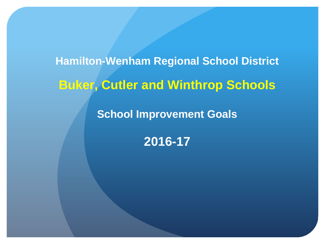## **Hamilton-Wenham Regional School District Buker, Cutler and Winthrop Schools**

**School Improvement Goals**

**2016-17**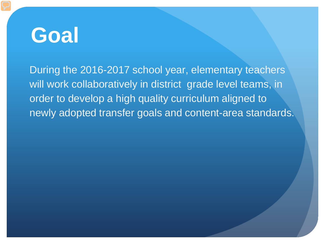During the 2016-2017 school year, elementary teachers will work collaboratively in district grade level teams, in order to develop a high quality curriculum aligned to newly adopted transfer goals and content-area standards.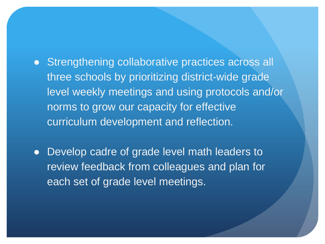- Strengthening collaborative practices across all three schools by prioritizing district-wide grade level weekly meetings and using protocols and/or norms to grow our capacity for effective curriculum development and reflection.
- Develop cadre of grade level math leaders to review feedback from colleagues and plan for each set of grade level meetings.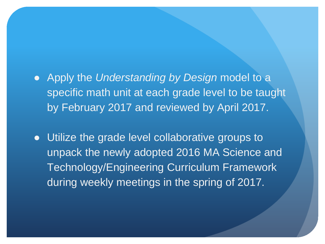- Apply the *Understanding by Design* model to a specific math unit at each grade level to be taught by February 2017 and reviewed by April 2017.
- Utilize the grade level collaborative groups to unpack the newly adopted 2016 MA Science and Technology/Engineering Curriculum Framework during weekly meetings in the spring of 2017.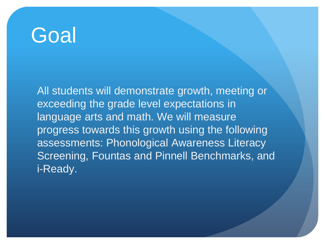All students will demonstrate growth, meeting or exceeding the grade level expectations in language arts and math. We will measure progress towards this growth using the following assessments: Phonological Awareness Literacy Screening, Fountas and Pinnell Benchmarks, and i-Ready.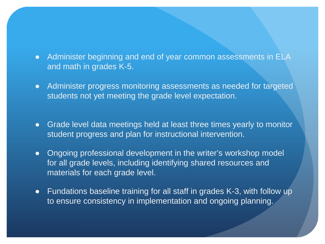- Administer beginning and end of year common assessments in ELA and math in grades K-5.
- Administer progress monitoring assessments as needed for targeted students not yet meeting the grade level expectation.
- Grade level data meetings held at least three times yearly to monitor student progress and plan for instructional intervention.
- Ongoing professional development in the writer's workshop model for all grade levels, including identifying shared resources and materials for each grade level.
- Fundations baseline training for all staff in grades K-3, with follow up to ensure consistency in implementation and ongoing planning.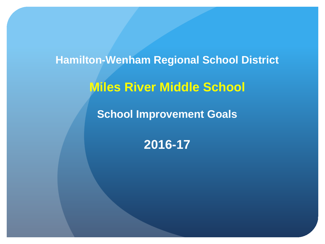**Hamilton-Wenham Regional School District Miles River Middle School School Improvement Goals**

**2016-17**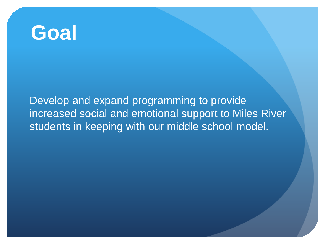Develop and expand programming to provide increased social and emotional support to Miles River students in keeping with our middle school model.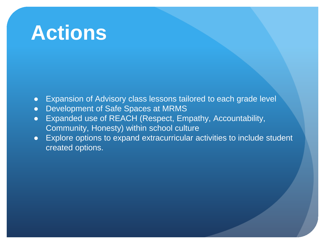- Expansion of Advisory class lessons tailored to each grade level
- Development of Safe Spaces at MRMS
- Expanded use of REACH (Respect, Empathy, Accountability, Community, Honesty) within school culture
- Explore options to expand extracurricular activities to include student created options.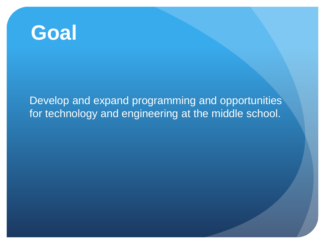Develop and expand programming and opportunities for technology and engineering at the middle school.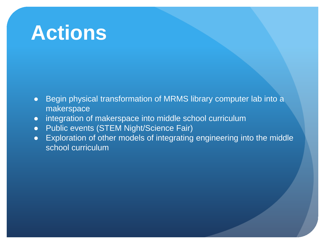- Begin physical transformation of MRMS library computer lab into a makerspace
- integration of makerspace into middle school curriculum
- Public events (STEM Night/Science Fair)
- Exploration of other models of integrating engineering into the middle school curriculum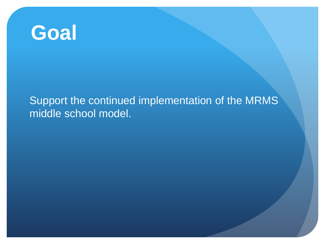#### Support the continued implementation of the MRMS middle school model.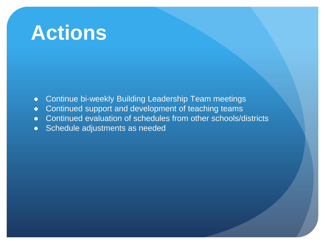- Continue bi-weekly Building Leadership Team meetings
- Continued support and development of teaching teams
- Continued evaluation of schedules from other schools/districts
- Schedule adjustments as needed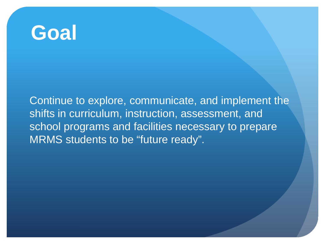Continue to explore, communicate, and implement the shifts in curriculum, instruction, assessment, and school programs and facilities necessary to prepare MRMS students to be "future ready".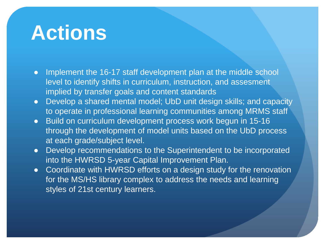- Implement the 16-17 staff development plan at the middle school level to identify shifts in curriculum, instruction, and assesment implied by transfer goals and content standards
- Develop a shared mental model; UbD unit design skills; and capacity to operate in professional learning communities among MRMS staff
- Build on curriculum development process work begun in 15-16 through the development of model units based on the UbD process at each grade/subject level.
- Develop recommendations to the Superintendent to be incorporated into the HWRSD 5-year Capital Improvement Plan.
- Coordinate with HWRSD efforts on a design study for the renovation for the MS/HS library complex to address the needs and learning styles of 21st century learners.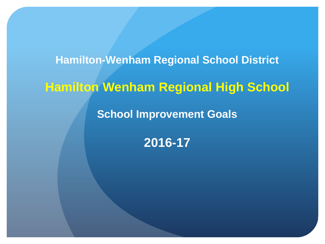# **Hamilton-Wenham Regional School District Hamilton Wenham Regional High School School Improvement Goals**

**2016-17**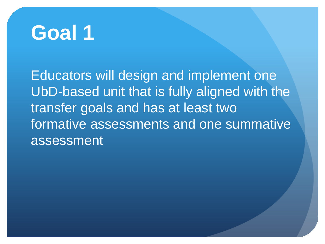Educators will design and implement one UbD-based unit that is fully aligned with the transfer goals and has at least two formative assessments and one summative assessment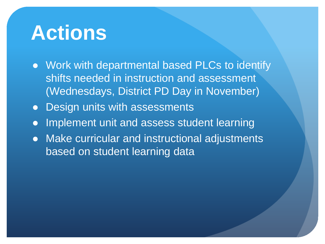- Work with departmental based PLCs to identify shifts needed in instruction and assessment (Wednesdays, District PD Day in November)
- Design units with assessments
- Implement unit and assess student learning
- Make curricular and instructional adjustments based on student learning data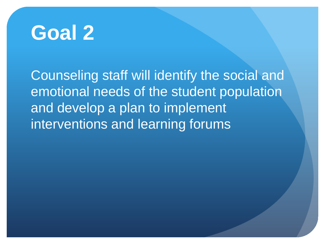

Counseling staff will identify the social and emotional needs of the student population and develop a plan to implement interventions and learning forums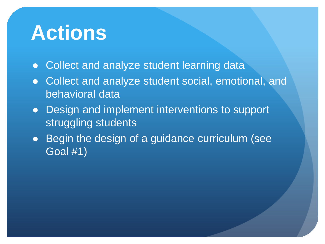- Collect and analyze student learning data
- Collect and analyze student social, emotional, and behavioral data
- Design and implement interventions to support struggling students
- Begin the design of a guidance curriculum (see Goal #1)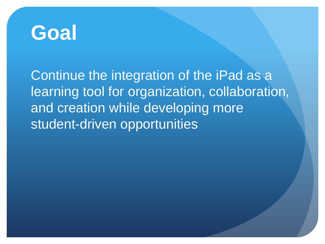Continue the integration of the iPad as a learning tool for organization, collaboration, and creation while developing more student-driven opportunities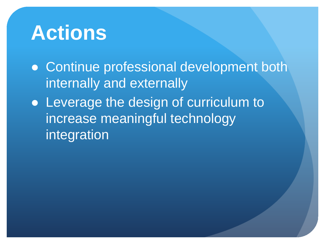● Continue professional development both internally and externally

• Leverage the design of curriculum to increase meaningful technology integration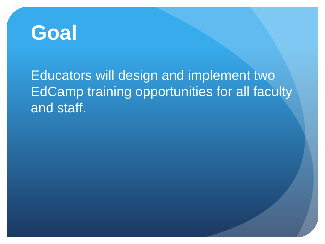

### Educators will design and implement two EdCamp training opportunities for all faculty and staff.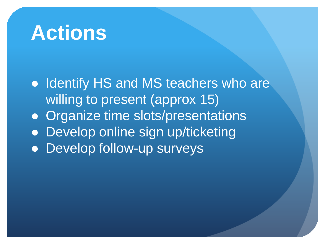● Identify HS and MS teachers who are willing to present (approx 15) ● Organize time slots/presentations • Develop online sign up/ticketing ● Develop follow-up surveys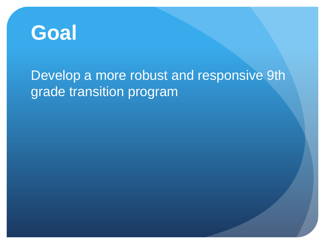

### Develop a more robust and responsive 9th grade transition program